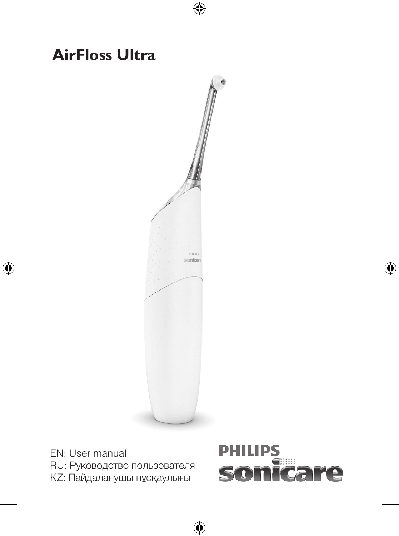

⊕

EN: User manual RU: Руководство пользователя KZ: Пайдаланушы нұсқаулығы

⊕



⊕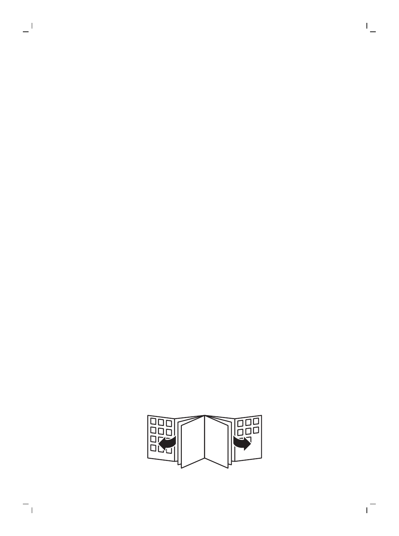

 $\mathbb{L}$ 

 $\overline{1}$ 

 $\mathbb{E}_1$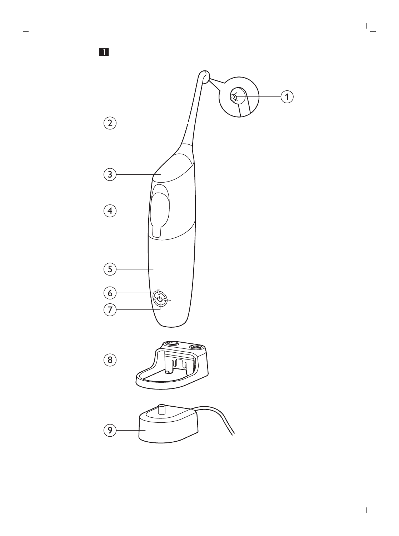

 $\mathbb{I}_+$ 

 $^{-}$ 

 $\bigodot$ 

 $^{-1}$ 

 $\mathord{\hspace{1pt}\text{--}\hspace{1pt}}_1$ 

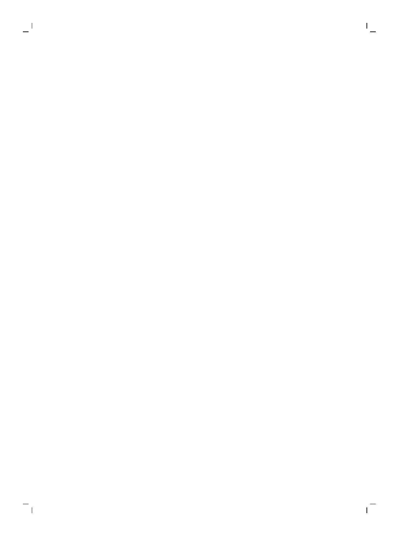$\mathord{\hspace{1pt}\text{--}\hspace{1pt}}_\mathord{\mathbb{L}}$ 

 $\mathbb{L}$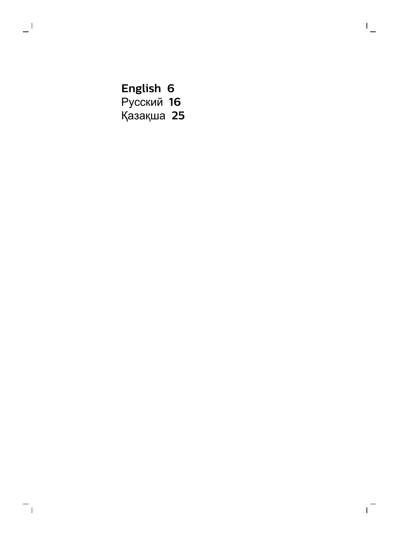English 6<br>Русский 16<br>Қазақша 25

 $\mathbb{L}$ 

 $\overline{1}$ 

 $\mathbf{L}^{\mathrm{I}}$ 

 $\top_1$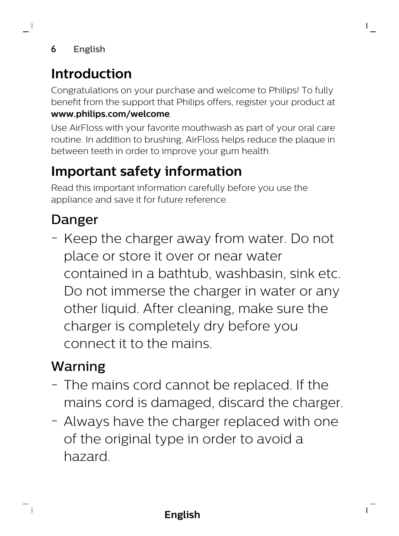<span id="page-5-0"></span> $\blacksquare$ 

# **Introduction**

Congratulations on your purchase and welcome to Philips! To fully benefit from the support that Philips offers, register your product at **www.philips.com/welcome**.

 $\mathsf{L}$ 

 $\mathbf{L}$ 

Use AirFloss with your favorite mouthwash as part of your oral care routine. In addition to brushing, AirFloss helps reduce the plaque in between teeth in order to improve your gum health.

# **Important safety information**

Read this important information carefully before you use the appliance and save it for future reference.

# Danger

- Keep the charger away from water. Do not place or store it over or near water contained in a bathtub, washbasin, sink etc. Do not immerse the charger in water or any other liquid. After cleaning, make sure the charger is completely dry before you connect it to the mains.

# Warning

- The mains cord cannot be replaced. If the mains cord is damaged, discard the charger.
- Always have the charger replaced with one of the original type in order to avoid a hazard.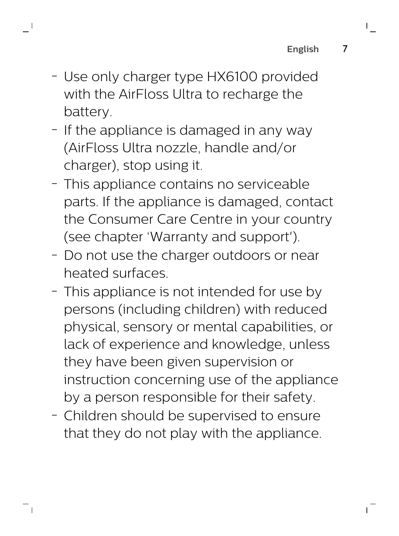$\mathbb{L}$ 

 $\mathbf{L}$ 

- Use only charger type HX6100 provided with the AirFloss Ultra to recharge the battery.

 $\overline{\phantom{0}}$ 

 $^{-}$ ı

- If the appliance is damaged in any way (AirFloss Ultra nozzle, handle and/or charger), stop using it.
- This appliance contains no serviceable parts. If the appliance is damaged, contact the Consumer Care Centre in your country (see chapter 'Warranty and support').
- Do not use the charger outdoors or near heated surfaces.
- This appliance is not intended for use by persons (including children) with reduced physical, sensory or mental capabilities, or lack of experience and knowledge, unless they have been given supervision or instruction concerning use of the appliance by a person responsible for their safety.
- Children should be supervised to ensure that they do not play with the appliance.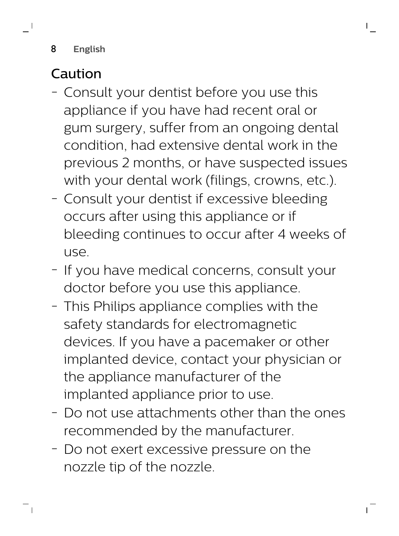$\sim$  1

 $\sqsupset$ 

## Caution

- Consult your dentist before you use this appliance if you have had recent oral or gum surgery, suffer from an ongoing dental condition, had extensive dental work in the previous 2 months, or have suspected issues with your dental work (filings, crowns, etc.).

 $\mathsf{L}$ 

 $\mathbf{L}$ 

- Consult your dentist if excessive bleeding occurs after using this appliance or if bleeding continues to occur after 4 weeks of use.
- If you have medical concerns, consult your doctor before you use this appliance.
- This Philips appliance complies with the safety standards for electromagnetic devices. If you have a pacemaker or other implanted device, contact your physician or the appliance manufacturer of the implanted appliance prior to use.
- Do not use attachments other than the ones recommended by the manufacturer.
- Do not exert excessive pressure on the nozzle tip of the nozzle.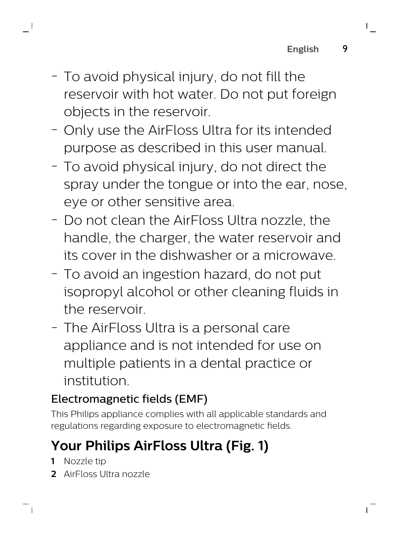$\mathbf{L}$ 

 $\mathbf{L}$ 

- To avoid physical injury, do not fill the reservoir with hot water. Do not put foreign objects in the reservoir.
- Only use the AirFloss Ultra for its intended purpose as described in this user manual.
- To avoid physical injury, do not direct the spray under the tongue or into the ear, nose, eye or other sensitive area.
- Do not clean the AirFloss Ultra nozzle, the handle, the charger, the water reservoir and its cover in the dishwasher or a microwave.
- To avoid an ingestion hazard, do not put isopropyl alcohol or other cleaning fluids in the reservoir.
- The AirFloss Ultra is a personal care appliance and is not intended for use on multiple patients in a dental practice or institution.

## Electromagnetic fields (EMF)

This Philips appliance complies with all applicable standards and regulations regarding exposure to electromagnetic fields.

# **Your Philips AirFloss Ultra (Fig. 1)**

**1** Nozzle tip

 $\blacksquare$ 

 $\overline{\phantom{a}}$ 

**2** AirFloss Ultra nozzle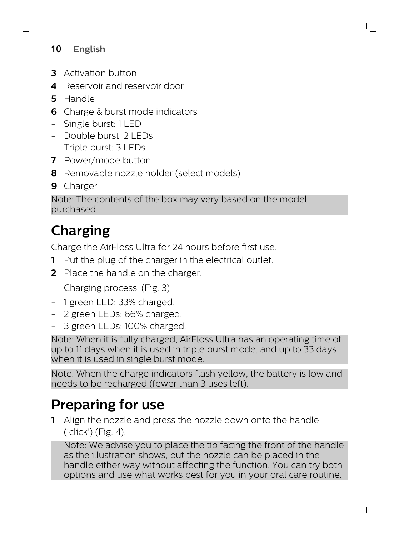$\overline{\phantom{0}}$ 

 $\blacksquare$ 

- **3** Activation button
- **4** Reservoir and reservoir door
- **5** Handle
- **6** Charge & burst mode indicators
- Single burst: 1 LED
- Double burst: 2 LEDs
- Triple burst: 3 LEDs
- **7** Power/mode button
- **8** Removable nozzle holder (select models)
- **9** Charger

Note: The contents of the box may very based on the model purchased.

L

 $\mathbf{L}$ 

# **Charging**

Charge the AirFloss Ultra for 24 hours before first use.

- **1** Put the plug of the charger in the electrical outlet.
- **2** Place the handle on the charger.

Charging process: (Fig. 3)

- 1 green LED: 33% charged.
- 2 green LEDs: 66% charged.
- 3 green LEDs: 100% charged.

Note: When it is fully charged, AirFloss Ultra has an operating time of up to 11 days when it is used in triple burst mode, and up to 33 days when it is used in single burst mode.

Note: When the charge indicators flash yellow, the battery is low and needs to be recharged (fewer than 3 uses left).

# **Preparing for use**

**1** Align the nozzle and press the nozzle down onto the handle ('click') (Fig. 4).

Note: We advise you to place the tip facing the front of the handle as the illustration shows, but the nozzle can be placed in the handle either way without affecting the function. You can try both options and use what works best for you in your oral care routine.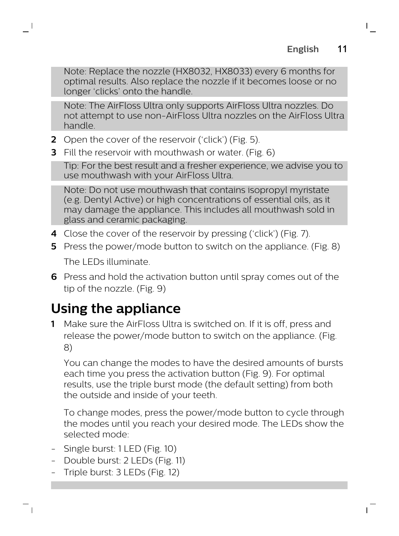$\mathbf{L}$ 

 $\mathbf{L}$ 

Note: Replace the nozzle (HX8032, HX8033) every 6 months for optimal results. Also replace the nozzle if it becomes loose or no longer 'clicks' onto the handle.

Note: The AirFloss Ultra only supports AirFloss Ultra nozzles. Do not attempt to use non-AirFloss Ultra nozzles on the AirFloss Ultra handle.

- **2** Open the cover of the reservoir ('click') (Fig. 5).
- **3** Fill the reservoir with mouthwash or water. (Fig. 6)

Tip: For the best result and a fresher experience, we advise you to use mouthwash with your AirFloss Ultra.

Note: Do not use mouthwash that contains isopropyl myristate (e.g. Dentyl Active) or high concentrations of essential oils, as it may damage the appliance. This includes all mouthwash sold in glass and ceramic packaging.

- **4** Close the cover of the reservoir by pressing ('click') (Fig. 7).
- **5** Press the power/mode button to switch on the appliance. (Fig. 8) The LEDs illuminate.
- **6** Press and hold the activation button until spray comes out of the tip of the nozzle. (Fig. 9)

## **Using the appliance**

 $\blacksquare$ 

**1** Make sure the AirFloss Ultra is switched on. If it is off, press and release the power/mode button to switch on the appliance. (Fig. 8)

You can change the modes to have the desired amounts of bursts each time you press the activation button (Fig. 9). For optimal results, use the triple burst mode (the default setting) from both the outside and inside of your teeth.

To change modes, press the power/mode button to cycle through the modes until you reach your desired mode. The LEDs show the selected mode:

- Single burst: 1 LED (Fig. 10)
- Double burst: 2 LEDs (Fig. 11)
- Triple burst: 3 LEDs (Fig. 12)

 $\overline{1}$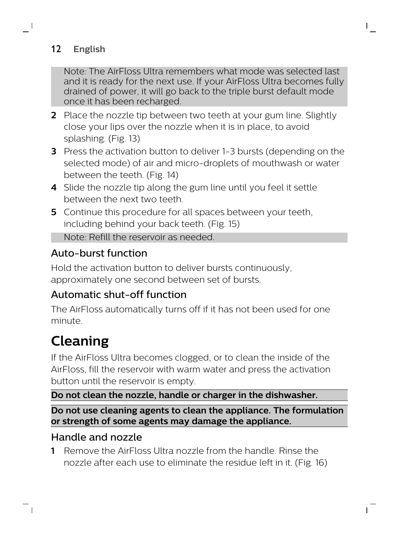$\overline{\phantom{0}}$ 

Note: The AirFloss Ultra remembers what mode was selected last and it is ready for the next use. If your AirFloss Ultra becomes fully drained of power, it will go back to the triple burst default mode once it has been recharged.

 $\mathsf{L}$ 

 $\mathbf{L}$ 

- **2** Place the nozzle tip between two teeth at your gum line. Slightly close your lips over the nozzle when it is in place, to avoid splashing. (Fig. 13)
- **3** Press the activation button to deliver 1-3 bursts (depending on the selected mode) of air and micro-droplets of mouthwash or water between the teeth. (Fig. 14)
- **4** Slide the nozzle tip along the gum line until you feel it settle between the next two teeth.
- **5** Continue this procedure for all spaces between your teeth. including behind your back teeth. (Fig. 15)

Note: Refill the reservoir as needed.

### Auto-burst function

Hold the activation button to deliver bursts continuously, approximately one second between set of bursts.

### Automatic shut-off function

The AirFloss automatically turns off if it has not been used for one minute.

# **Cleaning**

If the AirFloss Ultra becomes clogged, or to clean the inside of the AirFloss, fill the reservoir with warm water and press the activation button until the reservoir is empty.

**Do not clean the nozzle, handle or charger in the dishwasher.**

**Do not use cleaning agents to clean the appliance. The formulation or strength of some agents may damage the appliance.**

### Handle and nozzle

 $\blacksquare$ 

**1** Remove the AirFloss Ultra nozzle from the handle. Rinse the nozzle after each use to eliminate the residue left in it. (Fig. 16)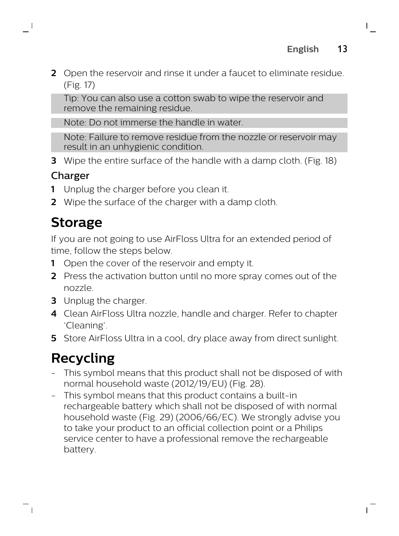$\mathsf{L}$ 

 $\mathbf{L}$ 

**2** Open the reservoir and rinse it under a faucet to eliminate residue. (Fig. 17)

Tip: You can also use a cotton swab to wipe the reservoir and remove the remaining residue.

Note: Do not immerse the handle in water.

Note: Failure to remove residue from the nozzle or reservoir may result in an unhygienic condition.

**3** Wipe the entire surface of the handle with a damp cloth. (Fig. 18)

### **Charger**

 $\overline{\phantom{a}}$ 

- **1** Unplug the charger before you clean it.
- **2** Wipe the surface of the charger with a damp cloth.

# **Storage**

If you are not going to use AirFloss Ultra for an extended period of time, follow the steps below.

- **1** Open the cover of the reservoir and empty it.
- **2** Press the activation button until no more spray comes out of the nozzle.
- **3** Unplug the charger.
- **4** Clean AirFloss Ultra nozzle, handle and charger. Refer to chapter 'Cleaning'.
- **5** Store AirFloss Ultra in a cool, dry place away from direct sunlight.

# **Recycling**

- This symbol means that this product shall not be disposed of with normal household waste (2012/19/EU) (Fig. 28).
- This symbol means that this product contains a built-in rechargeable battery which shall not be disposed of with normal household waste (Fig. 29) (2006/66/EC). We strongly advise you to take your product to an official collection point or a Philips service center to have a professional remove the rechargeable battery.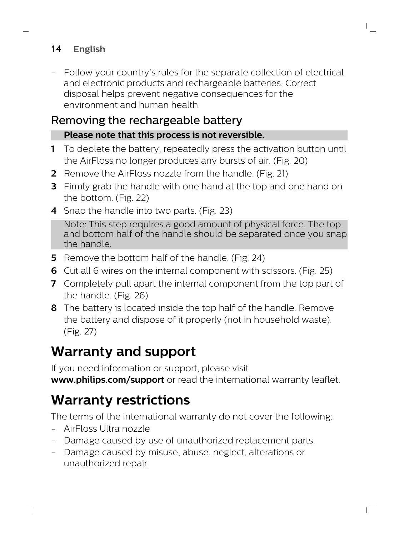$\overline{\phantom{a}}$ 

- Follow your country's rules for the separate collection of electrical and electronic products and rechargeable batteries. Correct disposal helps prevent negative consequences for the environment and human health.

 $\mathsf{L}$ 

 $\mathbf{L}$ 

### Removing the rechargeable battery

### **Please note that this process is not reversible.**

- **1** To deplete the battery, repeatedly press the activation button until the AirFloss no longer produces any bursts of air. (Fig. 20)
- **2** Remove the AirFloss nozzle from the handle. (Fig. 21)
- **3** Firmly grab the handle with one hand at the top and one hand on the bottom. (Fig. 22)
- **4** Snap the handle into two parts. (Fig. 23)

Note: This step requires a good amount of physical force. The top and bottom half of the handle should be separated once you snap the handle.

- **5** Remove the bottom half of the handle. (Fig. 24)
- **6** Cut all 6 wires on the internal component with scissors. (Fig. 25)
- **7** Completely pull apart the internal component from the top part of the handle. (Fig. 26)
- **8** The battery is located inside the top half of the handle. Remove the battery and dispose of it properly (not in household waste). (Fig. 27)

## **Warranty and support**

If you need information or support, please visit

**www.philips.com/support** or read the international warranty leaflet.

# **Warranty restrictions**

The terms of the international warranty do not cover the following:

- AirFloss Ultra nozzle

- Damage caused by use of unauthorized replacement parts.
- Damage caused by misuse, abuse, neglect, alterations or unauthorized repair.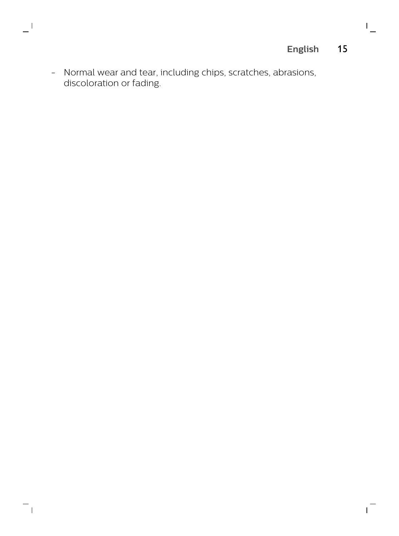- Normal wear and tear, including chips, scratches, abrasions, discoloration or fading.

 $\Box^{\dagger}$ 

 $\mathord{\hspace{1pt}\text{--}\hspace{1pt}}_1$ 

 $\overline{1}$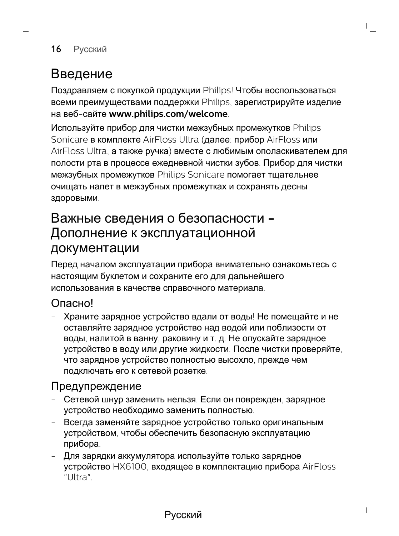#### 16 Русский

<span id="page-15-0"></span> $\overline{\phantom{0}}$ 

## Введение

Поздравляем с покупкой продукции Philips! Чтобы воспользоваться всеми преимуществами поддержки Philips, зарегистрируйте изделие на веб-сайте **www.philips.com/welcome**.

 $\mathsf{L}$ 

 $\mathbf{L}$ 

Используйте прибор для чистки межзубных промежутков Philips Sonicare в комплекте AirFloss Ultra (далее: прибор AirFloss или AirFloss Ultra, а также ручка) вместе с любимым ополаскивателем для полости рта в процессе ежедневной чистки зубов. Прибор для чистки межзубных промежутков Philips Sonicare помогает тщательнее очищать налет в межзубных промежутках и сохранять десны здоровыми.

## Важные сведения о безопасности **-** Дополнение к эксплуатационной документации

Перед началом эксплуатации прибора внимательно ознакомьтесь с настоящим буклетом и сохраните его для дальнейшего использования в качестве справочного материала.

### Опасно!

 $\blacksquare$ 

- Храните зарядное устройство вдали от воды! Не помещайте и не оставляйте зарядное устройство над водой или поблизости от воды, налитой в ванну, раковину и т. д. Не опускайте зарядное устройство в воду или другие жидкости. После чистки проверяйте, что зарядное устройство полностью высохло, прежде чем подключать его к сетевой розетке.

### Предупреждение

- Сетевой шнур заменить нельзя. Если он поврежден, зарядное устройство необходимо заменить полностью.
- Всегда заменяйте зарядное устройство только оригинальным устройством, чтобы обеспечить безопасную эксплуатацию прибора.
- Для зарядки аккумулятора используйте только зарядное устройство HX6100, входящее в комплектацию прибора AirFloss "Ultra".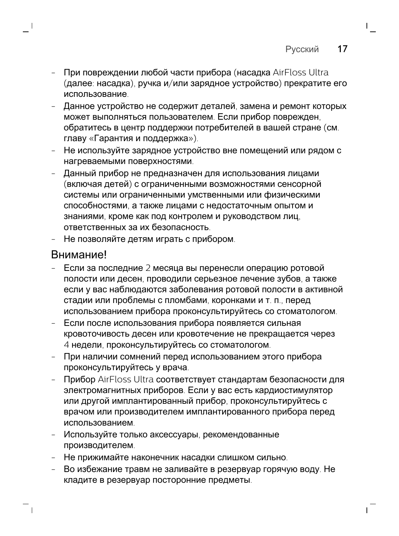- При повреждении любой части прибора (насадка AirFloss Ultra (далее: насадка), ручка и/или зарядное устройство) прекратите его использование.
- Данное устройство не содержит деталей, замена и ремонт которых может выполняться пользователем. Если прибор поврежден, обратитесь в центр поддержки потребителей в вашей стране (см. главу «Гарантия и поддержка»).
- Не используйте зарядное устройство вне помещений или рядом с нагреваемыми поверхностями.
- Данный прибор не предназначен для использования лицами (включая детей) с ограниченными возможностями сенсорной системы или ограниченными умственными или физическими способностями, а также лицами с недостаточным опытом и знаниями, кроме как под контролем и руководством лиц, ответственных за их безопасность.
- Не позволяйте детям играть с прибором.

### Внимание!

 $\overline{\phantom{a}}$ 

 $\blacksquare$ 

- Если за последние 2 месяца вы перенесли операцию ротовой полости или десен, проводили серьезное лечение зубов, а также если у вас наблюдаются заболевания ротовой полости в активной стадии или проблемы с пломбами, коронками и т. п., перед использованием прибора проконсультируйтесь со стоматологом.
- Если после использования прибора появляется сильная кровоточивость десен или кровотечение не прекращается через 4 недели, проконсультируйтесь со стоматологом.
- При наличии сомнений перед использованием этого прибора проконсультируйтесь у врача.
- Прибор AirFloss Ultra соответствует стандартам безопасности для электромагнитных приборов. Если у вас есть кардиостимулятор или другой имплантированный прибор, проконсультируйтесь с врачом или производителем имплантированного прибора перед использованием.
- Используйте только аксессуары, рекомендованные производителем.
- Не прижимайте наконечник насадки слишком сильно.
- Во избежание травм не заливайте в резервуар горячую воду. Не кладите в резервуар посторонние предметы.

 $\mathbf{I}$ 

 $\mathbf{L}$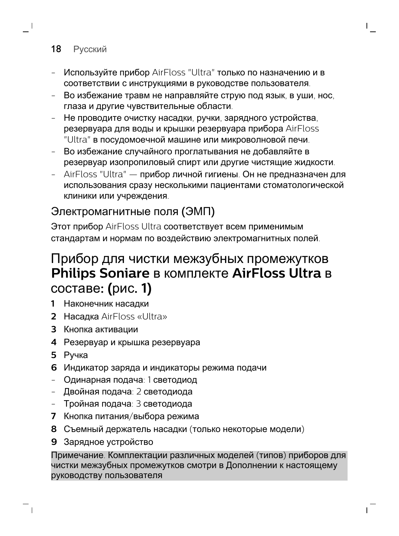#### 18 Русский

 $\overline{\phantom{0}}$ 

- Используйте прибор AirFloss "Ultra" только по назначению и в соответствии с инструкциями в руководстве пользователя.

 $\mathsf{L}$ 

 $\mathbf{L}$ 

- Во избежание травм не направляйте струю под язык, в уши, нос, глаза и другие чувствительные области.
- Не проводите очистку насадки, ручки, зарядного устройства, резервуара для воды и крышки резервуара прибора AirFloss "Ultra" в посудомоечной машине или микроволновой печи.
- Во избежание случайного проглатывания не добавляйте в резервуар изопропиловый спирт или другие чистящие жидкости.
- $A$ irFloss "Ultra" прибор личной гигиены. Он не предназначен для использования сразу несколькими пациентами стоматологической клиники или учреждения.

### Электромагнитные поля (ЭМП)

Этот прибор AirFloss Ultra соответствует всем применимым стандартам и нормам по воздействию электромагнитных полей.

## Прибор для чистки межзубных промежутков **Philips Soniare** в комплекте **AirFloss Ultra** в составе**: (**рис**. 1)**

- **1** Наконечник насадки
- **2** Насадка AirFloss «Ultra»
- **3** Кнопка активации
- **4** Резервуар и крышка резервуара
- **5** Ручка

 $\blacksquare$ 

- **6** Индикатор заряда и индикаторы режима подачи
- Одинарная подача: 1 светодиод
- Двойная подача: 2 светодиода
- Тройная подача: 3 светодиода
- **7** Кнопка питания/выбора режима
- **8** Съемный держатель насадки (только некоторые модели)
- **9** Зарядное устройство

Примечание. Комплектации различных моделей (типов) приборов для чистки межзубных промежутков смотри в Дополнении к настоящему руководству пользователя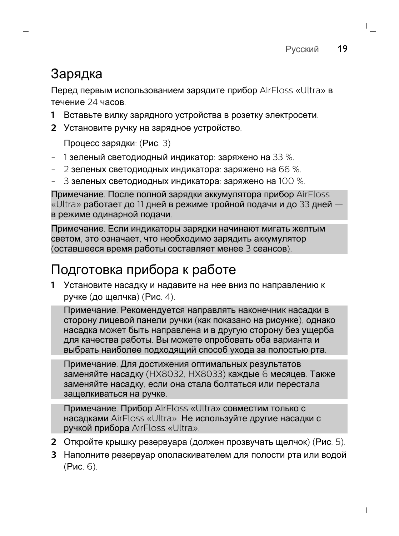## Зарядка

 $\blacksquare$ 

 $\overline{1}$ 

Перед первым использованием зарядите прибор AirFloss «Ultra» в течение 24 часов.

- **1** Вставьте вилку зарядного устройства в розетку электросети.
- **2** Установите ручку на зарядное устройство.

Процесс зарядки: (Рис. 3)

- 1 зеленый светодиодный индикатор: заряжено на 33 %.
- $-$  2 зеленых светодиодных индикатора: заряжено на 66 %.
- 3 зеленых светодиодных индикатора: заряжено на 100 %.

Примечание. После полной зарядки аккумулятора прибор AirFloss «Ultra» работает до 11 дней в режиме тройной подачи и до 33 дней в режиме одинарной подачи.

Примечание. Если индикаторы зарядки начинают мигать желтым светом, это означает, что необходимо зарядить аккумулятор (оставшееся время работы составляет менее 3 сеансов).

# Подготовка прибора к работе

**1** Установите насадку и надавите на нее вниз по направлению к ручке (до щелчка) (Рис. 4).

Примечание. Рекомендуется направлять наконечник насадки в сторону лицевой панели ручки (как показано на рисунке), однако насадка может быть направлена и в другую сторону без ущерба для качества работы. Вы можете опробовать оба варианта и выбрать наиболее подходящий способ ухода за полостью рта.

Примечание. Для достижения оптимальных результатов заменяйте насадку (HX8032, HX8033) каждые 6 месяцев. Также заменяйте насадку, если она стала болтаться или перестала защелкиваться на ручке.

Примечание. Прибор AirFloss «Ultra» совместим только с насадками AirFloss «Ultra». Не используйте другие насадки с ручкой прибора AirFloss «Ultra».

- **2** Откройте крышку резервуара (должен прозвучать щелчок) (Рис. 5).
- **3** Наполните резервуар ополаскивателем для полости рта или водой (Рис. 6).

 $\mathbf{I}$ 

 $\mathbf{L}$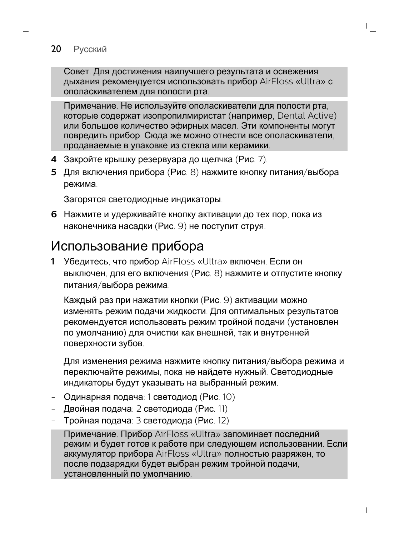#### 20 Русский

 $\overline{\phantom{a}}$ 

 $\overline{1}$ 

Совет. Для достижения наилучшего результата и освежения дыхания рекомендуется использовать прибор AirFloss «Ultra» с ополаскивателем для полости рта.

L

 $\mathbf{L}$ 

Примечание. Не используйте ополаскиватели для полости рта, которые содержат изопропилмиристат (например, Dental Active) или большое количество эфирных масел. Эти компоненты могут повредить прибор. Сюда же можно отнести все ополаскиватели, продаваемые в упаковке из стекла или керамики.

- **4** Закройте крышку резервуара до щелчка (Рис. 7).
- **5** Для включения прибора (Рис. 8) нажмите кнопку питания/выбора режима.

Загорятся светодиодные индикаторы.

**6** Нажмите и удерживайте кнопку активации до тех пор, пока из наконечника насадки (Рис. 9) не поступит струя.

## Использование прибора

**1** Убедитесь, что прибор AirFloss «Ultra» включен. Если он выключен, для его включения (Рис. 8) нажмите и отпустите кнопку питания/выбора режима.

Каждый раз при нажатии кнопки (Рис. 9) активации можно изменять режим подачи жидкости. Для оптимальных результатов рекомендуется использовать режим тройной подачи (установлен по умолчанию) для очистки как внешней, так и внутренней поверхности зубов.

Для изменения режима нажмите кнопку питания/выбора режима и переключайте режимы, пока не найдете нужный. Светодиодные индикаторы будут указывать на выбранный режим.

- Одинарная подача: 1 светодиод (Рис. 10)
- Двойная подача: 2 светодиода (Рис. 11)
- Тройная подача: 3 светодиода (Рис. 12)

Примечание. Прибор AirFloss «Ultra» запоминает последний режим и будет готов к работе при следующем использовании. Если аккумулятор прибора AirFloss «Ultra» полностью разряжен, то после подзарядки будет выбран режим тройной подачи, установленный по умолчанию.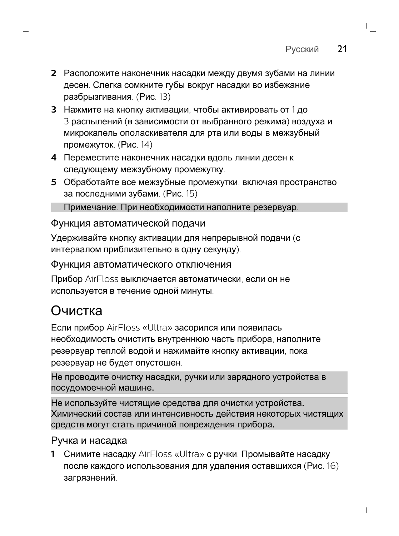L

 $\mathbf{L}$ 

- **2** Расположите наконечник насадки между двумя зубами на линии десен. Слегка сомкните губы вокруг насадки во избежание разбрызгивания. (Рис. 13)
- **3** Нажмите на кнопку активации, чтобы активировать от 1 до 3 распылений (в зависимости от выбранного режима) воздуха и микрокапель ополаскивателя для рта или воды в межзубный промежуток. (Рис. 14)
- **4** Переместите наконечник насадки вдоль линии десен к следующему межзубному промежутку.
- **5** Обработайте все межзубные промежутки, включая пространство за последними зубами. (Рис. 15)

Примечание. При необходимости наполните резервуар.

#### Функция автоматической подачи

Удерживайте кнопку активации для непрерывной подачи (с интервалом приблизительно в одну секунду).

Функция автоматического отключения

Прибор AirFloss выключается автоматически, если он не используется в течение одной минуты.

# Очистка

 $\blacksquare$ 

Если прибор AirFloss «Ultra» засорился или появилась необходимость очистить внутреннюю часть прибора, наполните резервуар теплой водой и нажимайте кнопку активации, пока резервуар не будет опустошен.

Не проводите очистку насадки**,** ручки или зарядного устройства в посудомоечной машине**.**

Не используйте чистящие средства для очистки устройства**.** Химический состав или интенсивность действия некоторых чистящих средств могут стать причиной повреждения прибора**.**

Ручка и насадка

 $\overline{1}$ 

**1** Снимите насадку AirFloss «Ultra» с ручки. Промывайте насадку после каждого использования для удаления оставшихся (Рис. 16) загрязнений.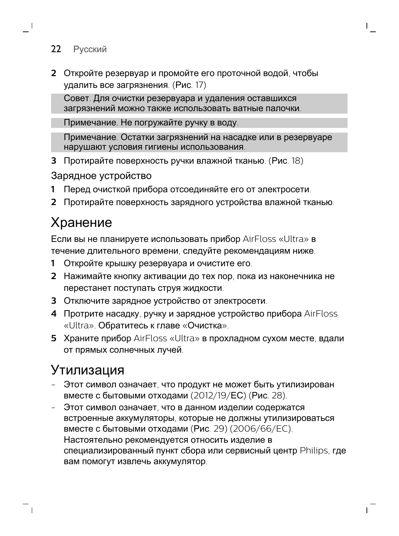#### 22 Русский

 $\overline{\phantom{0}}$ 

**2** Откройте резервуар и промойте его проточной водой, чтобы удалить все загрязнения. (Рис. 17)

Совет. Для очистки резервуара и удаления оставшихся загрязнений можно также использовать ватные палочки.

Примечание. Не погружайте ручку в воду.

Примечание. Остатки загрязнений на насадке или в резервуаре нарушают условия гигиены использования.

 $\mathsf{L}$ 

 $\mathbf{L}$ 

**3** Протирайте поверхность ручки влажной тканью. (Рис. 18)

Зарядное устройство

- **1** Перед очисткой прибора отсоединяйте его от электросети.
- **2** Протирайте поверхность зарядного устройства влажной тканью.

# Хранение

Если вы не планируете использовать прибор AirFloss «Ultra» в течение длительного времени, следуйте рекомендациям ниже.

- **1** Откройте крышку резервуара и очистите его.
- **2** Нажимайте кнопку активации до тех пор, пока из наконечника не перестанет поступать струя жидкости.
- **3** Отключите зарядное устройство от электросети.
- **4** Протрите насадку, ручку и зарядное устройство прибора AirFloss «Ultra». Обратитесь к главе «Очистка».
- **5** Храните прибор AirFloss «Ultra» в прохладном сухом месте, вдали от прямых солнечных лучей.

# Утилизация

- Этот символ означает, что продукт не может быть утилизирован вместе с бытовыми отходами (2012/19/ЕС) (Рис. 28).
- Этот символ означает, что в данном изделии содержатся встроенные аккумуляторы, которые не должны утилизироваться вместе с бытовыми отходами (Рис. 29) (2006/66/EC). Настоятельно рекомендуется относить изделие в специализированный пункт сбора или сервисный центр Philips, где вам помогут извлечь аккумулятор.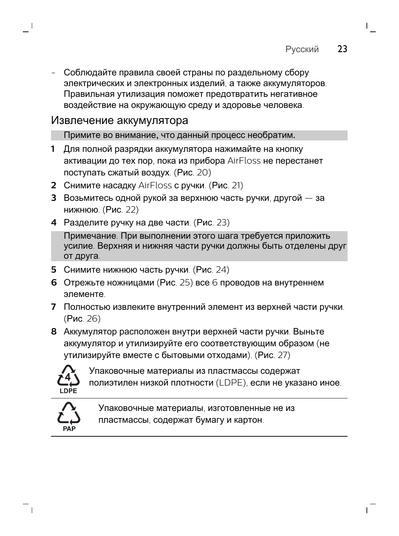L

 $\mathbf{L}$ 

- Соблюдайте правила своей страны по раздельному сбору электрических и электронных изделий, а также аккумуляторов. Правильная утилизация поможет предотвратить негативное воздействие на окружающую среду и здоровье человека.

### Извлечение аккумулятора

#### Примите во внимание**,** что данный процесс необратим**.**

- **1** Для полной разрядки аккумулятора нажимайте на кнопку активации до тех пор, пока из прибора AirFloss не перестанет поступать сжатый воздух. (Рис. 20)
- **2** Снимите насадку AirFloss с ручки. (Рис. 21)
- **3** Возьмитесь одной рукой за верхнюю часть ручки, другой за нижнюю. (Рис. 22)
- **4** Разделите ручку на две части. (Рис. 23)

Примечание. При выполнении этого шага требуется приложить усилие. Верхняя и нижняя части ручки должны быть отделены друг от друга.

- **5** Снимите нижнюю часть ручки. (Рис. 24)
- **6** Отрежьте ножницами (Рис. 25) все 6 проводов на внутреннем элементе.
- **7** Полностью извлеките внутренний элемент из верхней части ручки. (Рис. 26)
- **8** Аккумулятор расположен внутри верхней части ручки. Выньте аккумулятор и утилизируйте его соответствующим образом (не утилизируйте вместе с бытовыми отходами). (Рис. 27)



 $\blacksquare$ 

Упаковочные материалы из пластмассы содержат полиэтилен низкой плотности (LDPE), если не указано иное.



 $\overline{1}$ 

Упаковочные материалы, изготовленные не из пластмассы, содержат бумагу и картон.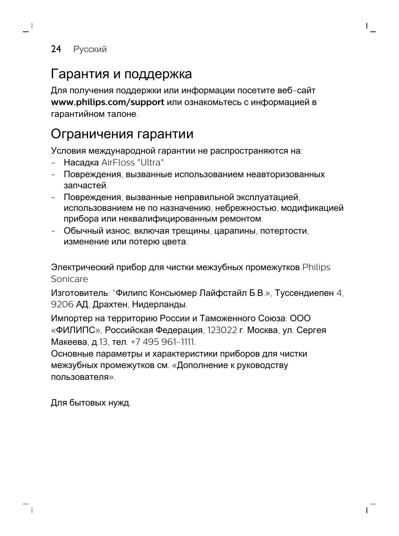#### 24 Русский

 $\overline{\phantom{0}}$ 

### Гарантия и поддержка

Для получения поддержки или информации посетите веб-сайт **www.philips.com/support** или ознакомьтесь с информацией в гарантийном талоне.

 $\mathsf{L}$ 

 $\mathbf{L}$ 

## Ограничения гарантии

Условия международной гарантии не распространяются на:

- Насадка AirFloss "Ultra"
- Повреждения, вызванные использованием неавторизованных запчастей.
- Повреждения, вызванные неправильной эксплуатацией, использованием не по назначению, небрежностью, модификацией прибора или неквалифицированным ремонтом.
- Обычный износ, включая трещины, царапины, потертости, изменение или потерю цвета.

Электрический прибор для чистки межзубных промежутков Philips Sonicare

Изготовитель: "Филипс Консьюмер Лайфстайл Б.В.», Туссендиепен 4, 9206 АД, Драхтен, Нидерланды.

Импортер на территорию России и Таможенного Союза: ООО «ФИЛИПС», Российская Федерация, 123022 г. Москва, ул. Сергея Макеева, д.13, тел. +7 495 961-1111.

Основные параметры и характеристики приборов для чистки межзубных промежутков см. «Дополнение к руководству пользователя».

Для бытовых нужд.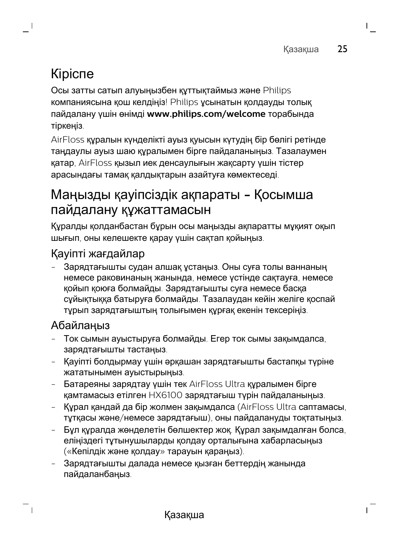$\mathbf{I}$ 

 $\mathbf{L}$ 

# Кіріспе

<span id="page-24-0"></span> $\overline{\phantom{a}}$ 

Осы затты сатып алуыңызбен құттықтаймыз және Philips компаниясына қош келдіңіз! Philips ұсынатын қолдауды толық пайдалану үшін өнімді **www.philips.com/welcome** торабында тіркеңіз.

AirFloss құралын күнделікті ауыз қуысын күтудің бір бөлігі ретінде таңдаулы ауыз шаю құралымен бірге пайдаланыңыз. Тазалаумен қатар, AirFloss қызыл иек денсаулығын жақсарту үшін тістер арасындағы тамақ қалдықтарын азайтуға көмектеседі.

## Маңызды қауіпсіздік ақпараты **-** Қосымша пайдалану құжаттамасын

Құралды қолданбастан бұрын осы маңызды ақпаратты мұқият оқып шығып, оны келешекте қарау үшін сақтап қойыңыз.

### Қауіпті жағдайлар

- Зарядтағышты судан алшақ ұстаңыз. Оны суға толы ваннаның немесе раковинаның жанында, немесе үстінде сақтауға, немесе қойып қоюға болмайды. Зарядтағышты суға немесе басқа сұйықтыққа батыруға болмайды. Тазалаудан кейін желіге қоспай тұрып зарядтағыштың толығымен құрғақ екенін тексеріңіз.

### Абайлаңыз

- Ток сымын ауыстыруға болмайды. Егер ток сымы зақымдалса, зарядтағышты тастаңыз.
- Қауіпті болдырмау үшін әрқашан зарядтағышты бастапқы түріне жататынымен ауыстырыңыз.
- Батареяны зарядтау үшін тек AirFloss Ultra құралымен бірге қамтамасыз етілген HX6100 зарядтағыш түрін пайдаланыңыз.
- Құрал қандай да бір жолмен зақымдалса (AirFloss Ultra саптамасы, тұтқасы және/немесе зарядтағыш), оны пайдалануды тоқтатыңыз.
- Бұл құралда жөнделетін бөлшектер жоқ. Құрал зақымдалған болса, еліңіздегі тұтынушыларды қолдау орталығына хабарласыңыз («Кепілдік және қолдау» тарауын қараңыз).
- Зарядтағышты далада немесе қызған беттердің жанында пайдаланбаңыз.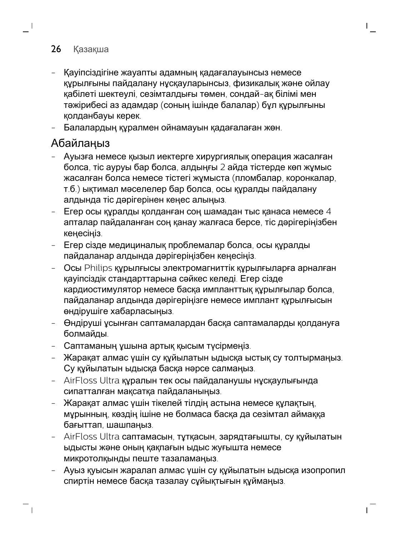#### 26 Қазақша

 $\overline{\phantom{0}}$ 

 $\overline{1}$ 

- Қауіпсіздігіне жауапты адамның қадағалауынсыз немесе құрылғыны пайдалану нұсқауларынсыз, физикалық және ойлау қабілеті шектеулі, сезімталдығы төмен, сондай-ақ білімі мен тәжірибесі аз адамдар (соның ішінде балалар) бұл құрылғыны қолданбауы керек.

 $\mathsf{L}$ 

 $\mathbf{L}$ 

- Балалардың құралмен ойнамауын қадағалаған жөн.

### Абайлаңыз

- Ауызға немесе қызыл иектерге хирургиялық операция жасалған болса, тіс ауруы бар болса, алдыңғы 2 айда тістерде көп жұмыс жасалған болса немесе тістегі жұмыста (пломбалар, коронкалар, т.б.) ықтимал мәселелер бар болса, осы құралды пайдалану алдында тіс дәрігерінен кеңес алыңыз.
- Егер осы құралды қолданған соң шамадан тыс қанаса немесе 4 апталар пайдаланған соң қанау жалғаса берсе, тіс дәрігеріңізбен кеңесіңіз.
- Егер сізде медициналық проблемалар болса, осы құралды пайдаланар алдында дәрігеріңізбен кеңесіңіз.
- Осы Philips құрылғысы электромагниттік құрылғыларға арналған қауіпсіздік стандарттарына сәйкес келеді. Егер сізде кардиостимулятор немесе басқа импланттық құрылғылар болса, пайдаланар алдында дәрігеріңізге немесе имплант құрылғысын өндірушіге хабарласыңыз.
- Өндіруші ұсынған саптамалардан басқа саптамаларды қолдануға болмайды.
- Саптаманың ұшына артық қысым түсірмеңіз.
- Жарақат алмас үшін су құйылатын ыдысқа ыстық су толтырмаңыз. Су құйылатын ыдысқа басқа нәрсе салмаңыз.
- AirFloss Ultra құралын тек осы пайдаланушы нұсқаулығында сипатталған мақсатқа пайдаланыңыз.
- Жарақат алмас үшін тікелей тілдің астына немесе құлақтың, мұрынның, көздің ішіне не болмаса басқа да сезімтал аймаққа бағыттап, шашпаңыз.
- AirFloss Ultra саптамасын, тұтқасын, зарядтағышты, су құйылатын ыдысты және оның қақпағын ыдыс жуғышта немесе микротолқынды пеште тазаламаңыз.
- Ауыз қуысын жаралап алмас үшін су құйылатын ыдысқа изопропил спиртін немесе басқа тазалау сұйықтығын құймаңыз.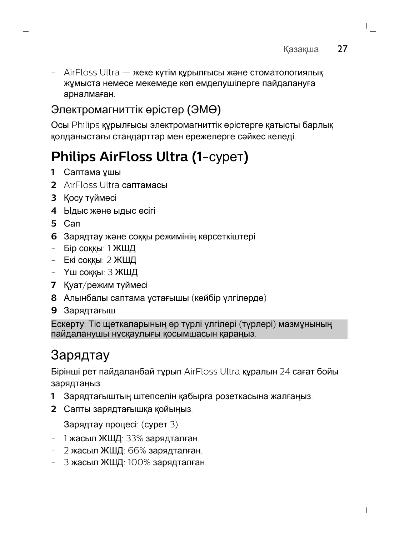$\overline{1}$ 

 $\mathbf{L}$ 

 $A$ ir $F$ loss Ultra — жеке күтім құрылғысы және стоматологиялық жұмыста немесе мекемеде көп емделушілерге пайдалануға арналмаған.

### Электромагниттік өрістер (ЭМӨ)

Осы Philips құрылғысы электромагниттік өрістерге қатысты барлық қолданыстағы стандарттар мен ережелерге сәйкес келеді.

# **Philips AirFloss Ultra (1-**сурет**)**

- **1** Саптама ұшы
- **2** AirFloss Ultra саптамасы
- **3** Қосу түймесі
- **4** Ыдыс және ыдыс есігі
- **5** Сап

 $\overline{\phantom{a}}$ 

- **6** Зарядтау және соққы режимінің көрсеткіштері
- Бір соққы: 1 ЖШД
- Екі соққы: 2 ЖШД
- Үш соққы: 3 ЖШД
- **7** Қуат/режим түймесі
- **8** Алынбалы саптама ұстағышы (кейбір үлгілерде)
- **9** Зарядтағыш

Ескерту: Тіс щеткаларының әр түрлі үлгілері (түрлері) мазмұнының пайдаланушы нұсқаулығы қосымшасын қараңыз.

# Зарядтау

 $\blacksquare$ 

Бірінші рет пайдаланбай тұрып AirFloss Ultra құралын 24 сағат бойы зарядтаңыз.

- **1** Зарядтағыштың штепселін қабырға розеткасына жалғаңыз.
- **2** Сапты зарядтағышқа қойыңыз.

Зарядтау процесі: (сурет 3)

- 1 жасыл ЖШД: 33% зарядталған.
- 2 жасыл ЖШД: 66% зарядталған.
- 3 жасыл ЖШД: 100% зарядталған.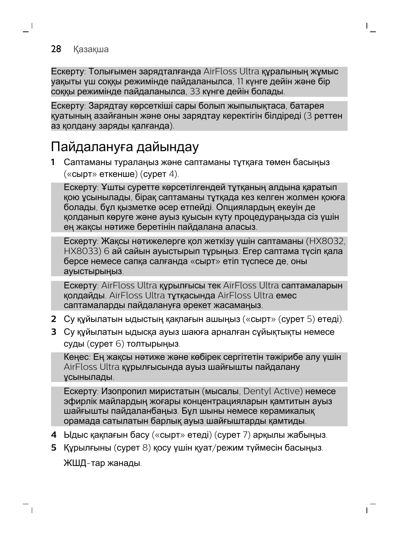#### 28 Қазақша

 $\overline{\phantom{a}}$ 

 $\blacksquare$ 

Ескерту: Толығымен зарядталғанда AirFloss Ultra құралының жұмыс уақыты үш соққы режимінде пайдаланылса, 11 күнге дейін және бір соққы режимінде пайдаланылса, 33 күнге дейін болады.

L

 $\mathbf{L}$ 

Ескерту: Зарядтау көрсеткіші сары болып жыпылықтаса, батарея қуатының азайғанын және оны зарядтау керектігін білдіреді (3 реттен аз қолдану заряды қалғанда).

## Пайдалануға дайындау

**1** Саптаманы туралаңыз және саптаманы тұтқаға төмен басыңыз («сырт» еткенше) (сурет 4).

Ескерту: Ұшты суретте көрсетілгендей тұтқаның алдына қаратып қою ұсынылады, бірақ саптаманы тұтқада кез келген жолмен қоюға болады, бұл қызметке әсер етпейді. Опциялардың екеуін де қолданып көруге және ауыз қуысын күту процедураңызда сіз үшін ең жақсы нәтиже беретінін пайдалана аласыз.

Ескерту: Жақсы нәтижелерге қол жеткізу үшін саптаманы (HX8032, HX8033) 6 ай сайын ауыстырып тұрыңыз. Егер саптама түсіп қала берсе немесе сапқа салғанда «сырт» етіп түспесе де, оны ауыстырыңыз.

Ескерту: AirFloss Ultra құрылғысы тек AirFloss Ultra саптамаларын қолдайды. AirFloss Ultra тұтқасында AirFloss Ultra емес саптамаларды пайдалануға әрекет жасамаңыз.

- **2** Су құйылатын ыдыстың қақпағын ашыңыз («сырт» (сурет 5) етеді).
- **3** Су құйылатын ыдысқа ауыз шаюға арналған сұйықтықты немесе суды (сурет 6) толтырыңыз.

Кеңес: Ең жақсы нәтиже және көбірек сергітетін тәжірибе алу үшін AirFloss Ultra құрылғысында ауыз шайғышты пайдалану ұсынылады.

Ескерту: Изопропил миристатын (мысалы, Dentyl Active) немесе эфирлік майлардың жоғары концентрацияларын қамтитын ауыз шайғышты пайдаланбаңыз. Бұл шыны немесе керамикалық орамада сатылатын барлық ауыз шайғыштарды қамтиды.

- **4** Ыдыс қақпағын басу («сырт» етеді) (сурет 7) арқылы жабыңыз.
- **5** Құрылғыны (сурет 8) қосу үшін қуат/режим түймесін басыңыз. ЖШД-тар жанады.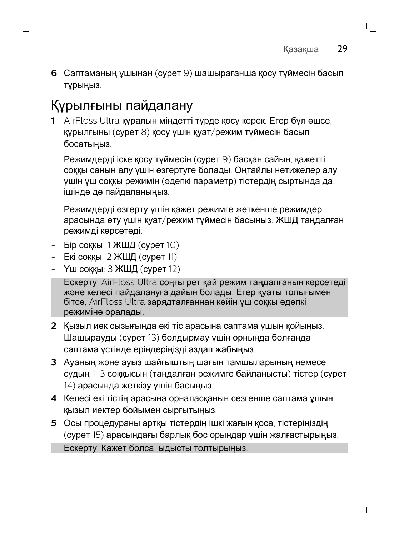$\mathbf{I}$ 

 $\mathbf{L}$ 

**6** Саптаманың ұшынан (сурет 9) шашырағанша қосу түймесін басып тұрыңыз.

## Құрылғыны пайдалану

 $\overline{\phantom{a}}$ 

 $\blacksquare$ 

**1** AirFloss Ultra құралын міндетті түрде қосу керек. Егер бұл өшсе, құрылғыны (сурет 8) қосу үшін қуат/режим түймесін басып босатыңыз.

Режимдерді іске қосу түймесін (сурет 9) басқан сайын, қажетті соққы санын алу үшін өзгертуге болады. Оңтайлы нәтижелер алу үшін үш соққы режимін (әдепкі параметр) тістердің сыртында да, ішінде де пайдаланыңыз.

Режимдерді өзгерту үшін қажет режимге жеткенше режимдер арасында өту үшін қуат/режим түймесін басыңыз. ЖШД таңдалған режимді көрсетеді:

- Бір соққы: 1 ЖШД (сурет 10)
- Екі соққы: 2 ЖШД (сурет 11)
- Үш соққы: 3 ЖШД (сурет 12)

Ескерту: AirFloss Ultra соңғы рет қай режим таңдалғанын көрсетеді және келесі пайдалануға дайын болады. Егер қуаты толығымен бітсе, AirFloss Ultra зарядталғаннан кейін үш соққы әдепкі режиміне оралады.

- **2** Қызыл иек сызығында екі тіс арасына саптама ұшын қойыңыз. Шашырауды (сурет 13) болдырмау үшін орнында болғанда саптама үстінде еріндеріңізді аздап жабыңыз.
- **3** Ауаның және ауыз шайғыштың шағын тамшыларының немесе судың 1-3 соққысын (таңдалған режимге байланысты) тістер (сурет 14) арасында жеткізу үшін басыңыз.
- **4** Келесі екі тістің арасына орналасқанын сезгенше саптама ұшын қызыл иектер бойымен сырғытыңыз.
- **5** Осы процедураны артқы тістердің ішкі жағын қоса, тістеріңіздің (сурет 15) арасындағы барлық бос орындар үшін жалғастырыңыз. Ескерту: Қажет болса, ыдысты толтырыңыз.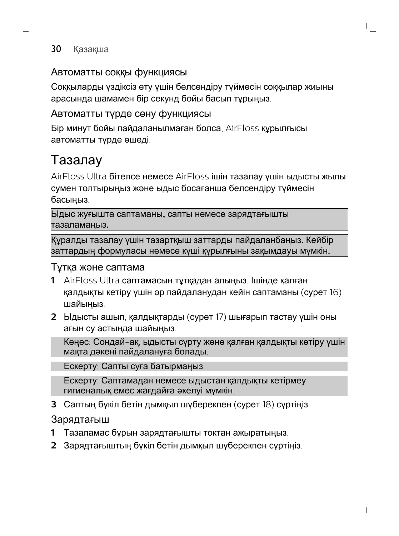#### 30 Қазақша

 $\overline{\phantom{a}}$ 

#### Автоматты соққы функциясы

Соққыларды үздіксіз ету үшін белсендіру түймесін соққылар жиыны арасында шамамен бір секунд бойы басып тұрыңыз.

L

 $\mathbf{L}$ 

#### Автоматты түрде сөну функциясы

Бір минут бойы пайдаланылмаған болса, AirFloss құрылғысы автоматты түрде өшеді.

## Тазалау

AirFloss Ultra бітелсе немесе AirFloss ішін тазалау үшін ыдысты жылы сумен толтырыңыз және ыдыс босағанша белсендіру түймесін басыңыз.

Ыдыс жуғышта саптаманы**,** сапты немесе зарядтағышты тазаламаңыз**.**

Құралды тазалау үшін тазартқыш заттарды пайдаланбаңыз**.** Кейбір заттардың формуласы немесе күші құрылғыны зақымдауы мүмкін**.**

#### Тұтқа және саптама

- **1** AirFloss Ultra саптамасын тұтқадан алыңыз. Ішінде қалған қалдықты кетіру үшін әр пайдаланудан кейін саптаманы (сурет 16) шайыңыз.
- **2** Ыдысты ашып, қалдықтарды (сурет 17) шығарып тастау үшін оны ағын су астында шайыңыз.

Кеңес: Сондай-ақ, ыдысты сүрту және қалған қалдықты кетіру үшін мақта дәкені пайдалануға болады.

Ескерту: Сапты суға батырмаңыз.

Ескерту: Саптамадан немесе ыдыстан қалдықты кетірмеу гигиеналық емес жағдайға әкелуі мүмкін.

**3** Саптың бүкіл бетін дымқыл шүберекпен (сурет 18) сүртіңіз.

#### Зарядтағыш

- **1** Тазаламас бұрын зарядтағышты токтан ажыратыңыз.
- **2** Зарядтағыштың бүкіл бетін дымқыл шүберекпен сүртіңіз.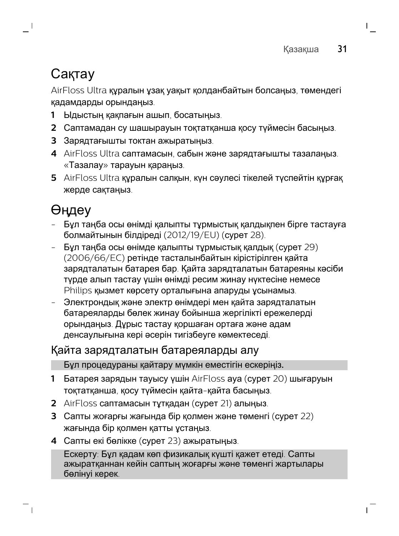$\mathbf{I}$ 

 $\mathbf{L}$ 

# Сақтау

 $\overline{\phantom{a}}$ 

 $\blacksquare$ 

AirFloss Ultra құралын ұзақ уақыт қолданбайтын болсаңыз, төмендегі қадамдарды орындаңыз.

- **1** Ыдыстың қақпағын ашып, босатыңыз.
- **2** Саптамадан су шашырауын тоқтатқанша қосу түймесін басыңыз.
- **3** Зарядтағышты токтан ажыратыңыз.
- **4** AirFloss Ultra саптамасын, сабын және зарядтағышты тазалаңыз. «Тазалау» тарауын қараңыз.
- **5** AirFloss Ultra құралын салқын, күн сәулесі тікелей түспейтін құрғақ жерде сақтаңыз.

# Өңдеу

- Бұл таңба осы өнімді қалыпты тұрмыстық қалдықпен бірге тастауға болмайтынын білдіреді (2012/19/EU) (сурет 28).
- Бұл таңба осы өнімде қалыпты тұрмыстық қалдық (сурет 29) (2006/66/EC) ретінде тасталынбайтын кірістірілген қайта зарядталатын батарея бар. Қайта зарядталатын батареяны кәсіби түрде алып тастау үшін өнімді ресим жинау нүктесіне немесе Philips қызмет көрсету орталығына апаруды ұсынамыз.
- Электрондық және электр өнімдері мен қайта зарядталатын батареяларды бөлек жинау бойынша жергілікті ережелерді орындаңыз. Дұрыс тастау қоршаған ортаға және адам денсаулығына кері әсерін тигізбеуге көмектеседі.

### Қайта зарядталатын батареяларды алу

Бұл процедураны қайтару мүмкін еместігін ескеріңіз**.**

- **1** Батарея зарядын тауысу үшін AirFloss ауа (сурет 20) шығаруын тоқтатқанша, қосу түймесін қайта-қайта басыңыз.
- **2** AirFloss саптамасын тұтқадан (сурет 21) алыңыз.
- **3** Сапты жоғарғы жағында бір қолмен және төменгі (сурет 22) жағында бір қолмен қатты ұстаңыз.
- **4** Сапты екі бөлікке (сурет 23) ажыратыңыз.

Ескерту: Бұл қадам көп физикалық күшті қажет етеді. Сапты ажыратқаннан кейін саптың жоғарғы және төменгі жартылары бөлінуі керек.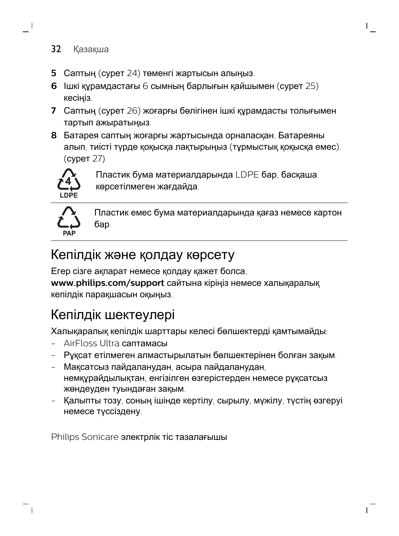#### 32 Қазақша

 $\overline{\phantom{a}}$ 

- **5** Саптың (сурет 24) төменгі жартысын алыңыз.
- **6** Ішкі құрамдастағы 6 сымның барлығын қайшымен (сурет 25) кесіңіз.
- **7** Саптың (сурет 26) жоғарғы бөлігінен ішкі құрамдасты толығымен тартып ажыратыңыз.
- **8** Батарея саптың жоғарғы жартысында орналасқан. Батареяны алып, тиісті түрде қоқысқа лақтырыңыз (тұрмыстық қоқысқа емес). (сурет 27)



Пластик бума материалдарында LDPE бар, басқаша көрсетілмеген жағдайда.



 $\overline{1}$ 

Пластик емес бума материалдарында қағаз немесе картон бар.

L

 $\mathbf{L}$ 

## Кепілдік және қолдау көрсету

Егер сізге ақпарат немесе қолдау қажет болса,

**www.philips.com/support** сайтына кіріңіз немесе халықаралық кепілдік парақшасын оқыңыз.

# Кепілдік шектеулері

Халықаралық кепілдік шарттары келесі бөлшектерді қамтымайды:

- AirFloss Ultra саптамасы
- Рұқсат етілмеген алмастырылатын бөлшектерінен болған зақым.
- Мақсатсыз пайдаланудан, асыра пайдаланудан, немқұрайдылықтан, енгізілген өзгерістерден немесе рұқсатсыз жөндеуден туындаған зақым.
- Қалыпты тозу, соның ішінде кертілу, сырылу, мүжілу, түстің өзгеруі немесе түссіздену.

Philips Sonicare электрлік тіс тазалағышы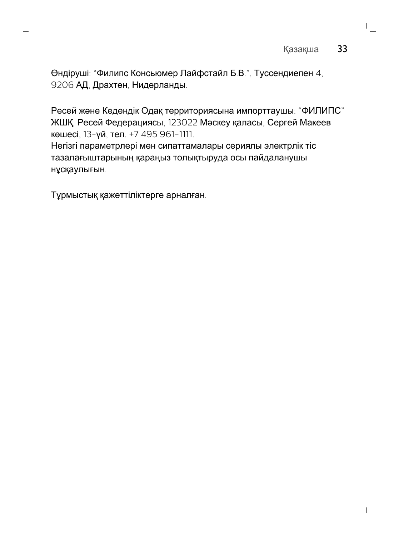#### Қазақша 33

 $\mathbf{L}$ 

 $\mathbf{L}$ 

Өндіруші: "Филипс Консьюмер Лайфстайл Б.В.", Туссендиепен 4, 9206 АД, Драхтен, Нидерланды.

Ресей және Кедендік Одақ территориясына импорттаушы: "ФИЛИПС" ЖШҚ, Ресей Федерациясы, 123022 Мәскеу қаласы, Сергей Макеев көшесі, 13-үй, тел. +7 495 961-1111.

Негізгі параметрлері мен сипаттамалары сериялы электрлік тіс тазалағыштарының қараңыз толықтыруда осы пайдаланушы нұсқаулығын.

Тұрмыстық қажеттіліктерге арналған.

 $\overline{\phantom{0}}$ 

 $\overline{\phantom{0}}$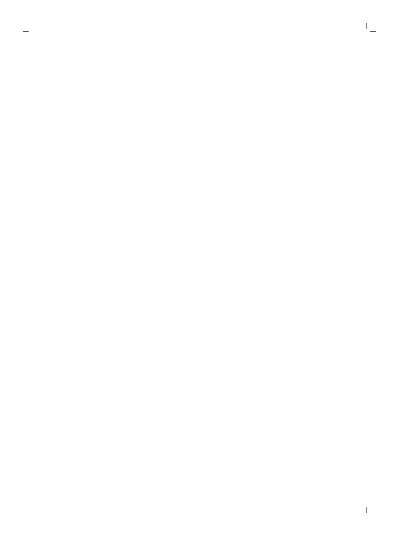$\mathord{\hspace{1pt}\text{--}\hspace{1pt}}_\mathord{\mathbb{L}}$ 

 $\mathbb{L}$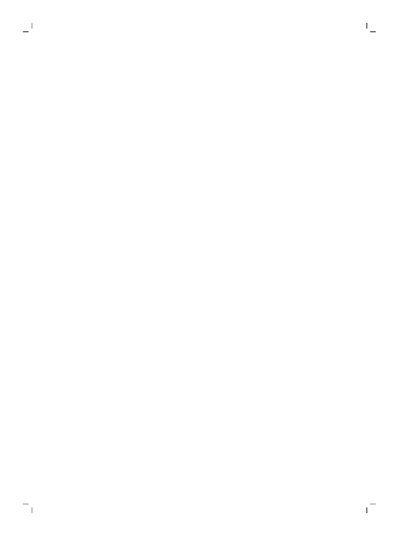$\mathord{\hspace{1pt}\text{--}\hspace{1pt}}_\mathord{\mathbb{L}}$ 

 $\mathbb{L}$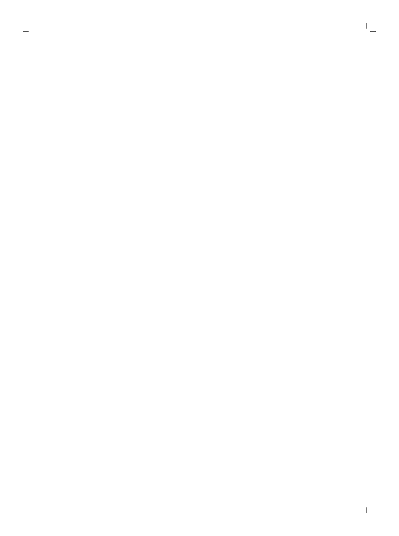$\mathord{\hspace{1pt}\text{--}\hspace{1pt}}_\mathord{\mathbb{L}}$ 

 $\mathbb{L}$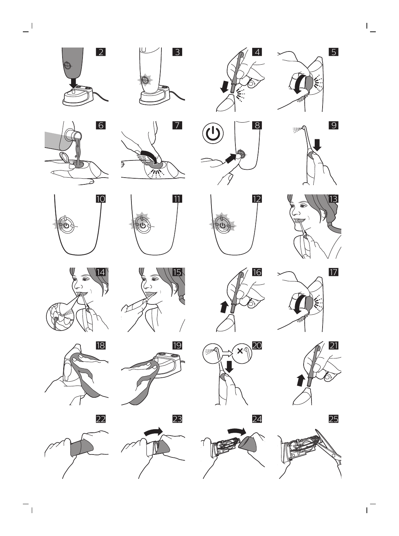

 $\mathbf{1}^-$ 



 $^{-}$ ı







 $\mathbf{L}^{\mathbf{r}}$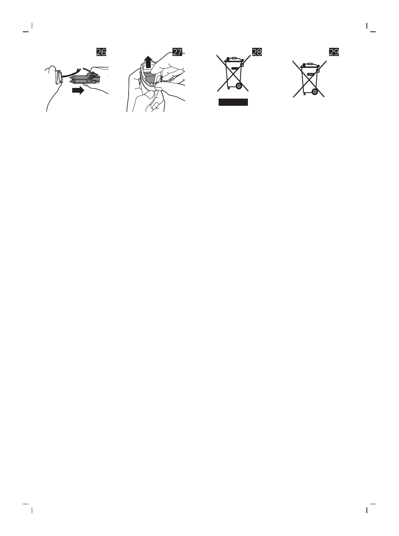

- 1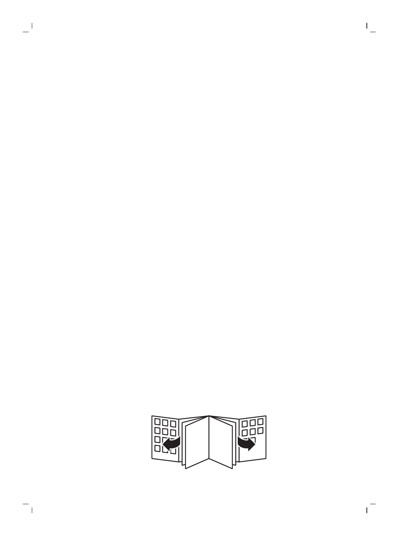

 $=$ <sub>1</sub>

 $\mathbf{I}$ 

 $\mathbb{L}$